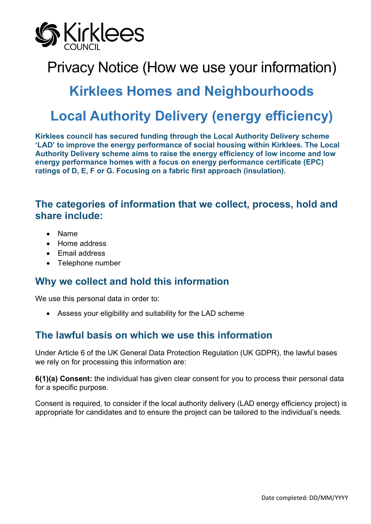

# Privacy Notice (How we use your information)

## **Kirklees Homes and Neighbourhoods**

# **Local Authority Delivery (energy efficiency)**

**Kirklees council has secured funding through the Local Authority Delivery scheme 'LAD' to improve the energy performance of social housing within Kirklees. The Local Authority Delivery scheme aims to raise the energy efficiency of low income and low energy performance homes with a focus on energy performance certificate (EPC) ratings of D, E, F or G. Focusing on a fabric first approach (insulation).**

### **The categories of information that we collect, process, hold and share include:**

- Name
- Home address
- Email address
- Telephone number

### **Why we collect and hold this information**

We use this personal data in order to:

• Assess your eligibility and suitability for the LAD scheme

## **The lawful basis on which we use this information**

Under Article 6 of the UK General Data Protection Regulation (UK GDPR), the lawful bases we rely on for processing this information are:

**6(1)(a) Consent:** the individual has given clear consent for you to process their personal data for a specific purpose.

Consent is required, to consider if the local authority delivery (LAD energy efficiency project) is appropriate for candidates and to ensure the project can be tailored to the individual's needs.